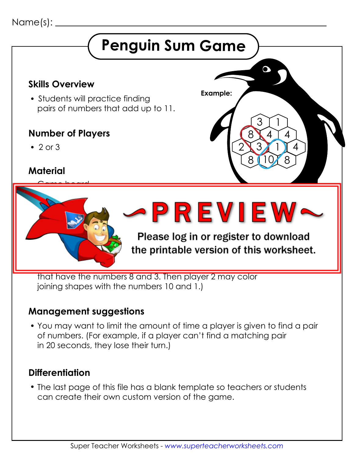#### Name(s):



#### **Management suggestions**

 You may want to limit the amount of time a player is given to find a pair of numbers. (For example, if a player can't find a matching pair in 20 seconds, they lose their turn.)

#### **Differentiation**

 The last page of this file has a blank template so teachers or students can create their own custom version of the game.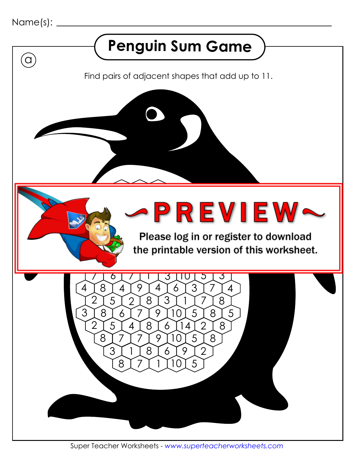

 $\binom{}{}$ 

## **Penguin Sum Game**

Find pairs of adjacent shapes that add up to 11.

 6 8 4 10  $\bullet$   $\bullet$   $\bullet$   $\bullet$   $\bullet$   $\bullet$  $\triangleright$   $\triangleright$   $\triangleright$ 

Please log in or the printable versio

 $\left[8\right]$ 

 $\big)$  5

Super Teacher Worksheets - *www.superteacherworksheets.com*

 $5$   $4$   $8$ 

 $7$   $7$   $7$   $7$   $9$   $10$   $5$ 

 $\mathsf{T}$ 

3 प्रा0

10]

8 7 7 1 1 1 1 0 1 5

 $\overline{3}$ 

 $\circ$ 

14 2

 $14$ 

10 1

3 | 8 | 6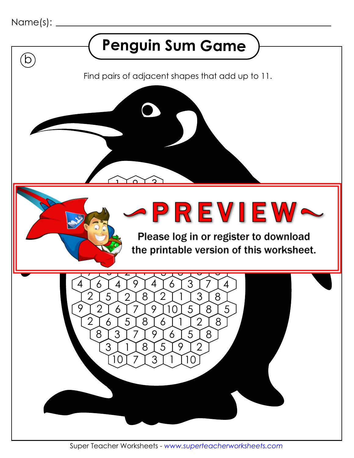

 $\left(\mathsf{b}\right)$ 

## **Penguin Sum Game**

Find pairs of adjacent shapes that add up to 11.

2 6 7 4 7 2 7 6 3 8 5 6  $\rightarrow$   $\rightarrow$   $\rightarrow$ 

Please log in or  $\bigotimes$  the printable versic 8 3

4

 $\overline{\mathbf{v}}$ 

8

8 T 5

8

Super Teacher Worksheets - *www.superteacherworksheets.com*

 $\ddot{\overline{}}$ 

5

5

 $\boldsymbol{\varDelta}$ 

 $2 6 5 8$ <br>18 3 7 7 1

5

8

8 3 7 7 9 6 5

7

 $\overline{\mathbf{C}}$ 

1

3

2

8

5

3 7

5

 $\overline{1}$ 

 $\overline{a}$ 

 $\mathcal{P}$ 

 $9$  10

6

 $3118151912$ 

10 7 1 3 1 1 10

6

 $9$   $14$ 

2

<u>1 1 0 1 2</u>

 $\mathcal{P}$ 

7

 $\mathcal{P}$ 

7

6

8

4

6

 $9$   $12$   $16$ 

 $\overline{\phantom{0}}$ 

9

 $\ddot{\phantom{0}}$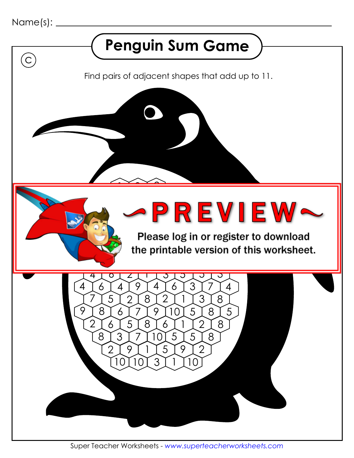

 $\left( \right)$ 

#### **Penguin Sum Game**

Find pairs of adjacent shapes that add up to 11.

Please log in or the printable versio  $\overline{\phantom{a}}$   $\overline{\phantom{a}}$   $\overline{\phantom{a}}$   $\overline{\phantom{a}}$   $\overline{\phantom{a}}$   $\overline{\phantom{a}}$   $\overline{\phantom{a}}$   $\overline{\phantom{a}}$   $\overline{\phantom{a}}$   $\overline{\phantom{a}}$   $\overline{\phantom{a}}$   $\overline{\phantom{a}}$   $\overline{\phantom{a}}$   $\overline{\phantom{a}}$   $\overline{\phantom{a}}$   $\overline{\phantom{a}}$   $\overline{\phantom{a}}$   $\overline{\phantom{a}}$   $\overline{\$ 

 $\overline{\overline{z}}$ 

8 <u>[</u> 5

Super Teacher Worksheets - *www.superteacherworksheets.com*

 $\overline{\circ}$ 

 $6$   $6$   $5$   $6$ 

 $7$   $3$   $7$   $7$   $10$   $5$   $7$   $5$ 

6 7 4 7

9 2

 $\blacktriangleright$   $\blacktriangleright$   $\blacktriangleright$ 

 $\overline{\sigma}$ 

7

 $\mathcal{P}$ 

 $\overline{\mathbf{c}}$ 

10

 $7$   $9$   $1$   $1$   $5$   $1$   $9$   $1$   $2$ 

10 3 1 10

9 T 4

8 6

 $\overline{\phantom{a}}$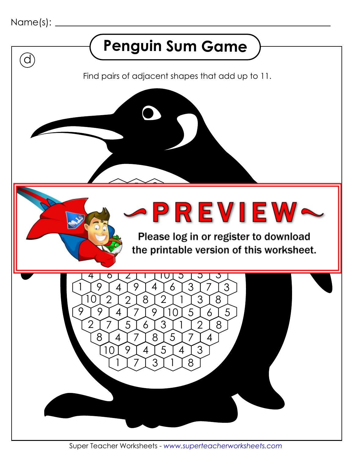

 $\Omega$ 

## **Penguin Sum Game**

Find pairs of adjacent shapes that add up to 11.

 6 4 7 7 9 2 6 9 5 6  $\blacktriangleright$  PR

Please log in or the printable version

 $\overline{\mathbf{c}}$ 

 $\overline{)}$  5

Super Teacher Worksheets - *www.superteacherworksheets.com*

 $\overline{\overline{6}}$ 

 $\mathcal{P}$ 

 $7$   $7$   $5$   $6$ 

 $4$   $7$   $7$   $8$   $1$   $5$   $1$   $7$ 

 $\circ$ 

7

10

 $\left[3\right]$ 

 $10 \mid 9 \mid 4 \mid 5 \mid 4 \mid 3$ 

[7[3[1[8

9 T 4

 $\frac{1}{2}$ 

9 T 9 T 4

 $\overline{a}$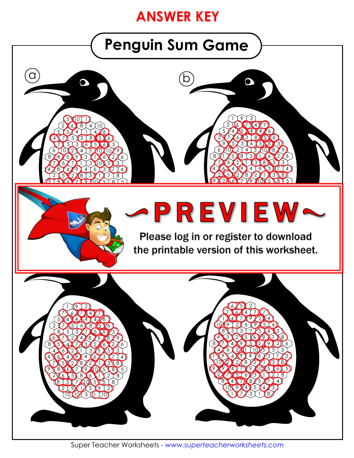#### **ANSWER KEY**

## **Penguin Sum Game**



Super Teacher Worksheets - *www.superteacherworksheets.com*